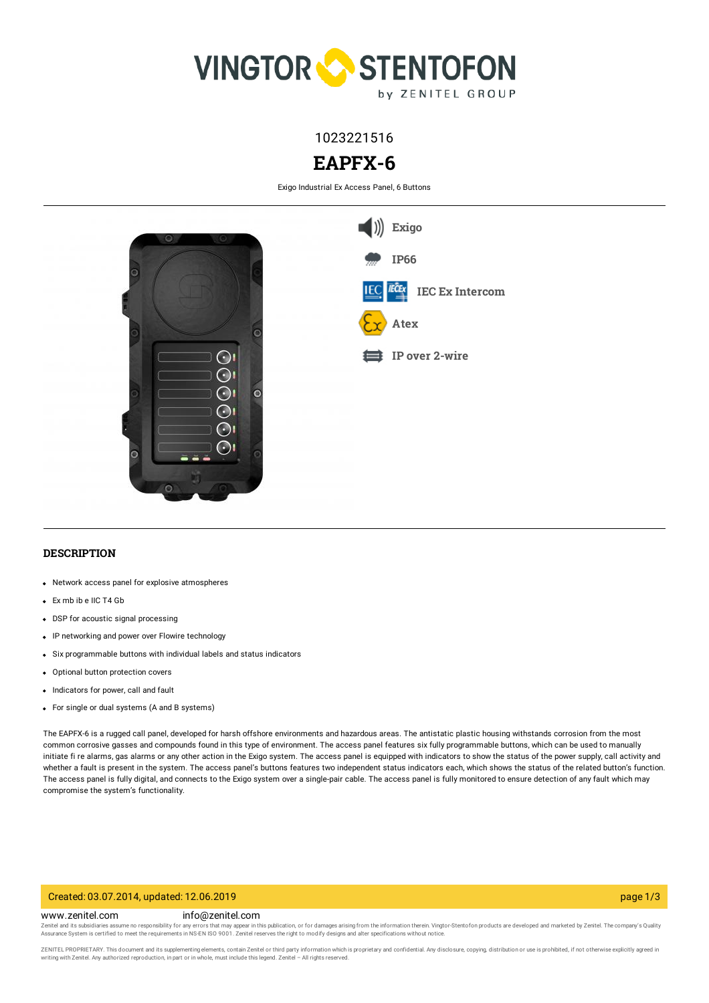

# 1023221516

# **EAPFX-6**

Exigo Industrial Ex Access Panel, 6 Buttons



### **DESCRIPTION**

- Network access panel for explosive atmospheres
- Ex mb ib e IIC T4 Gb
- DSP for acoustic signal processing
- IP networking and power over Flowire technology
- Six programmable buttons with individual labels and status indicators
- Optional button protection covers
- Indicators for power, call and fault
- For single or dual systems (A and B systems)

The EAPFX-6 is a rugged call panel, developed for harsh offshore environments and hazardous areas. The antistatic plastic housing withstands corrosion from the most common corrosive gasses and compounds found in this type of environment. The access panel features six fully programmable buttons, which can be used to manually initiate fi re alarms, gas alarms or any other action in the Exigo system. The access panel is equipped with indicators to show the status of the power supply, call activity and whether a fault is present in the system. The access panel's buttons features two independent status indicators each, which shows the status of the related button's function. The access panel is fully digital, and connects to the Exigo system over a single-pair cable. The access panel is fully monitored to ensure detection of any fault which may compromise the system's functionality.

#### Created: 03.07.2014, updated: 12.06.2019 page 1/3

#### www.zenitel.com info@zenitel.com

Zenitel and its subsidiaries assume no responsibility for any errors that may appear in this publication, or for damages arising from the information therein. Vingtor-Stentofon products are developed and marketed by Zenite

ZENITEL PROPRIETARY. This document and its supplementing elements, contain Zenitel or third party information which is proprietary and confidential. Any disclosure, copying, distribution or use is prohibited, if not otherw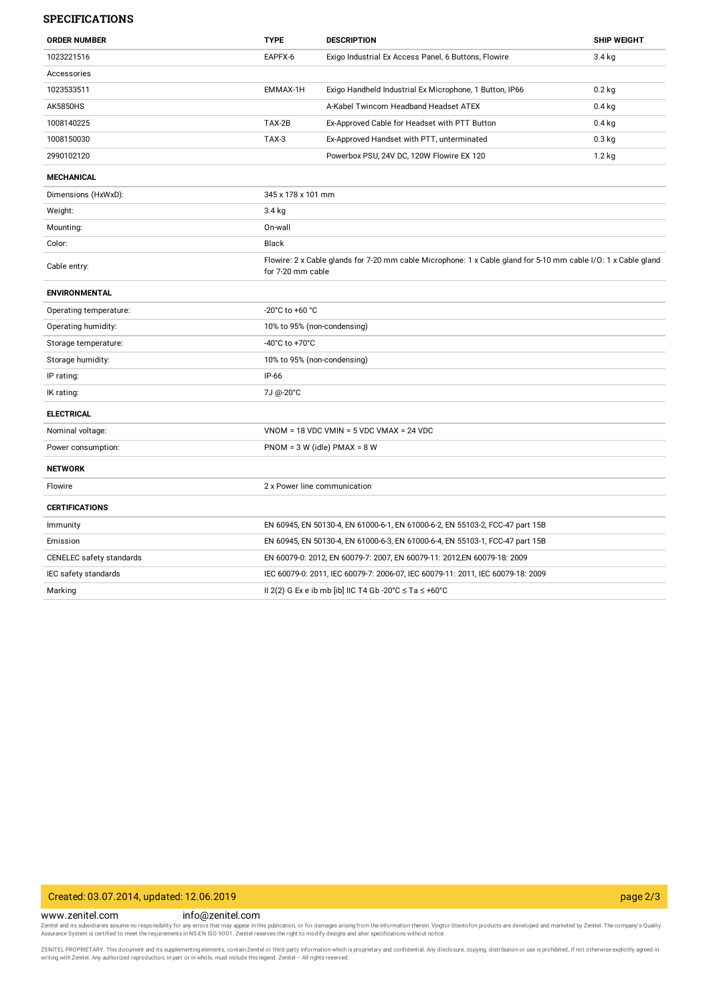#### **SPECIFICATIONS**

| <b>ORDER NUMBER</b>      | <b>TYPE</b>                                                                                                                         | <b>DESCRIPTION</b>                                                              | <b>SHIP WEIGHT</b> |
|--------------------------|-------------------------------------------------------------------------------------------------------------------------------------|---------------------------------------------------------------------------------|--------------------|
| 1023221516               | EAPFX-6                                                                                                                             | Exigo Industrial Ex Access Panel, 6 Buttons, Flowire                            | 3.4 kg             |
| Accessories              |                                                                                                                                     |                                                                                 |                    |
| 1023533511               | EMMAX-1H                                                                                                                            | Exigo Handheld Industrial Ex Microphone, 1 Button, IP66                         | $0.2$ kg           |
| <b>AK5850HS</b>          |                                                                                                                                     | A-Kabel Twincom Headband Headset ATEX                                           | $0.4$ kg           |
| 1008140225               | TAX-2B                                                                                                                              | Ex-Approved Cable for Headset with PTT Button                                   | $0.4$ kg           |
| 1008150030               | TAX-3                                                                                                                               | Ex-Approved Handset with PTT, unterminated                                      | $0.3$ kg           |
| 2990102120               |                                                                                                                                     | Powerbox PSU, 24V DC, 120W Flowire EX 120                                       | 1.2 kg             |
| <b>MECHANICAL</b>        |                                                                                                                                     |                                                                                 |                    |
| Dimensions (HxWxD):      | 345 x 178 x 101 mm                                                                                                                  |                                                                                 |                    |
| Weight:                  | 3.4 kg                                                                                                                              |                                                                                 |                    |
| Mounting:                | On-wall                                                                                                                             |                                                                                 |                    |
| Color:                   | Black                                                                                                                               |                                                                                 |                    |
| Cable entry:             | Flowire: 2 x Cable glands for 7-20 mm cable Microphone: 1 x Cable gland for 5-10 mm cable I/O: 1 x Cable gland<br>for 7-20 mm cable |                                                                                 |                    |
| <b>ENVIRONMENTAL</b>     |                                                                                                                                     |                                                                                 |                    |
| Operating temperature:   | -20°C to +60 °C                                                                                                                     |                                                                                 |                    |
| Operating humidity:      | 10% to 95% (non-condensing)                                                                                                         |                                                                                 |                    |
| Storage temperature:     | -40°C to +70°C                                                                                                                      |                                                                                 |                    |
| Storage humidity:        | 10% to 95% (non-condensing)                                                                                                         |                                                                                 |                    |
| IP rating:               | IP-66                                                                                                                               |                                                                                 |                    |
| IK rating:               | 7J @-20°C                                                                                                                           |                                                                                 |                    |
| <b>ELECTRICAL</b>        |                                                                                                                                     |                                                                                 |                    |
| Nominal voltage:         |                                                                                                                                     | $VNOM = 18 VDC VMIN = 5 VDC VMAX = 24 VDC$                                      |                    |
| Power consumption:       | $PNOM = 3 W$ (idle) $PMAX = 8 W$                                                                                                    |                                                                                 |                    |
| <b>NETWORK</b>           |                                                                                                                                     |                                                                                 |                    |
| Flowire                  | 2 x Power line communication                                                                                                        |                                                                                 |                    |
| <b>CERTIFICATIONS</b>    |                                                                                                                                     |                                                                                 |                    |
| Immunity                 |                                                                                                                                     | EN 60945, EN 50130-4, EN 61000-6-1, EN 61000-6-2, EN 55103-2, FCC-47 part 15B   |                    |
| Emission                 | EN 60945, EN 50130-4, EN 61000-6-3, EN 61000-6-4, EN 55103-1, FCC-47 part 15B                                                       |                                                                                 |                    |
| CENELEC safety standards |                                                                                                                                     | EN 60079-0: 2012, EN 60079-7: 2007, EN 60079-11: 2012,EN 60079-18: 2009         |                    |
| IEC safety standards     |                                                                                                                                     | IEC 60079-0: 2011, IEC 60079-7: 2006-07, IEC 60079-11: 2011, IEC 60079-18: 2009 |                    |
| Marking                  |                                                                                                                                     | II 2(2) G Ex e ib mb [ib] IIC T4 Gb -20°C $\leq$ Ta $\leq$ +60°C                |                    |

## Created: 03.07.2014, updated: 12.06.2019 page 2/3

www.zenitel.com info@zenitel.com

Zenitel and its subsidiaries assume no responsibility for any errors that may appear in this publication, or for damages arising from the information therein. Vingtor-Stentofon products are developed and marketed by Zenite

ZENITEL PROPRIETARY. This document and its supplementing elements, contain Zenitel or third party information which is proprietary and confidential. Any disclosure, copying, distribution or use is prohibited, if not otherw